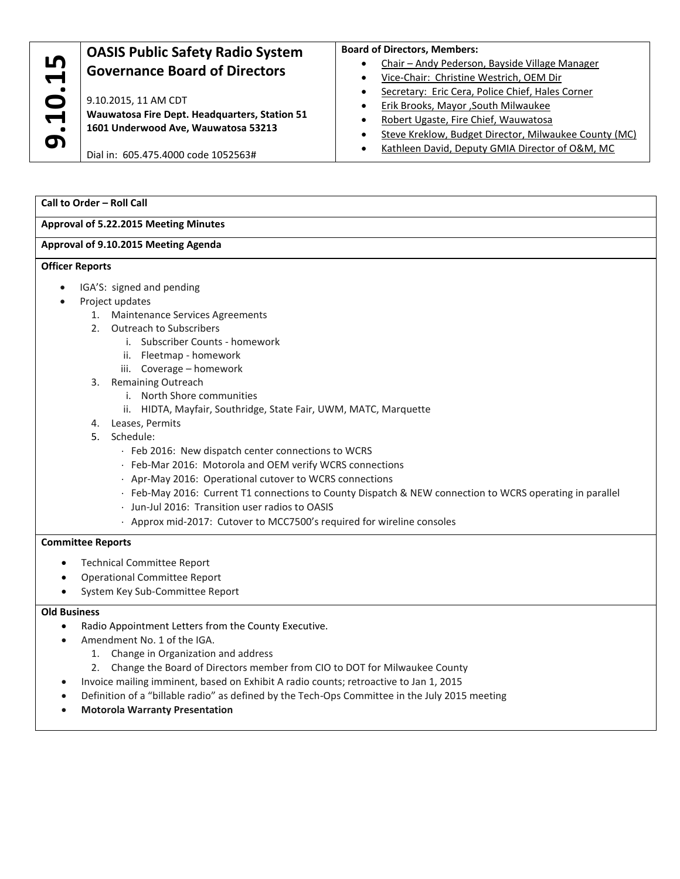| LO                                                 | <b>OASIS Public Safety Radio System</b><br><b>Governance Board of Directors</b>                              | <b>Board of Directors, Members:</b><br>Chair - Andy Pederson, Bayside Village Manager       |
|----------------------------------------------------|--------------------------------------------------------------------------------------------------------------|---------------------------------------------------------------------------------------------|
| $\bullet$<br>C<br>$\blacksquare$<br>$\bullet$<br>0 | 9.10.2015, 11 AM CDT<br>Wauwatosa Fire Dept. Headquarters, Station 51<br>1601 Underwood Ave, Wauwatosa 53213 | Vice-Chair: Christine Westrich, OEM Dir<br>Secretary: Eric Cera, Police Chief, Hales Corner |
|                                                    |                                                                                                              | Erik Brooks, Mayor , South Milwaukee<br>Robert Ugaste, Fire Chief, Wauwatosa                |
|                                                    |                                                                                                              | Steve Kreklow, Budget Director, Milwaukee County (MC)                                       |
|                                                    | Dial in: 605.475.4000 code 1052563#                                                                          | Kathleen David, Deputy GMIA Director of O&M, MC                                             |

## **Call to Order – Roll Call**

### **Approval of 5.22.2015 Meeting Minutes**

# **Approval of 9.10.2015 Meeting Agenda**

### **Officer Reports**

- IGA'S: signed and pending
- Project updates Project updates
	- 1. Maintenance Services Agreements
	- 2. Outreach to Subscribers
	- i. Subscriber Counts homework
		- ii. Fleetmap homework
		- iii. Coverage homework
	- 3. Remaining Outreach
		- i. North Shore communities
		- ii. HIDTA, Mayfair, Southridge, State Fair, UWM, MATC, Marquette
	- 4. Leases, Permits
	- 5. Schedule:
		- Feb 2016: New dispatch center connections to WCRS
		- Feb-Mar 2016: Motorola and OEM verify WCRS connections
		- Apr-May 2016: Operational cutover to WCRS connections
		- Feb-May 2016: Current T1 connections to County Dispatch & NEW connection to WCRS operating in parallel
		- Jun-Jul 2016: Transition user radios to OASIS
		- Approx mid-2017: Cutover to MCC7500's required for wireline consoles

### **Committee Reports**

- Technical Committee Report
- Operational Committee Report
- System Key Sub-Committee Report

### **Old Business**

- Radio Appointment Letters from the County Executive.
- Amendment No. 1 of the IGA.
	- 1. Change in Organization and address
	- 2. Change the Board of Directors member from CIO to DOT for Milwaukee County
- Invoice mailing imminent, based on Exhibit A radio counts; retroactive to Jan 1, 2015
- Definition of a "billable radio" as defined by the Tech-Ops Committee in the July 2015 meeting
- **Motorola Warranty Presentation**